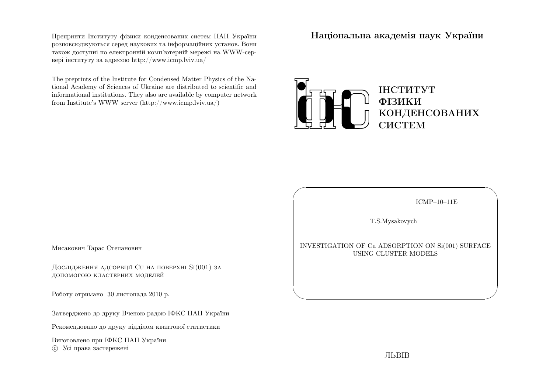Препринти Iнституту фiзики конденсованих систем НАН України розповсюджуються серед наукових та iнформацiйних установ. Вони також доступн<sup>i</sup> по електроннiй комп'ютернiй мереж<sup>i</sup> на WWW-сервер<sup>i</sup> iнституту за адресою http://www.icmp.lviv.ua/

The preprints of the Institute for Condensed Matter Physics of the National Academy of Sciences of Ukraine are distributed to scientific and informational institutions. They also are available by computer networkfrom Institute's WWW server (http://www.icmp.lviv.ua/)

Нацiональна академiя наук України



ICMP–10–11E

✩

 $\overline{\phantom{a}}$ 

T.S.Mysakovych

 $\sqrt{a}$ 

 $\setminus$ 

INVESTIGATION OF Cu ADSORPTION ON Si(001) SURFACEUSING CLUSTER MODELS

Мисакович Тарас Степанович

Дослідження адсорбції Cu на поверхні Si(001) за допомогою кластерних моделей

Роботу отримано <sup>30</sup> листопада <sup>2010</sup> р.

Затверджено до друку Вченою радою IФКС НАН України

Рекомендовано до друку вiддiлом квантової статистики

Виготовлено при IФКС НАН Україниc Усi права застережен<sup>i</sup>

ЛЬВIВ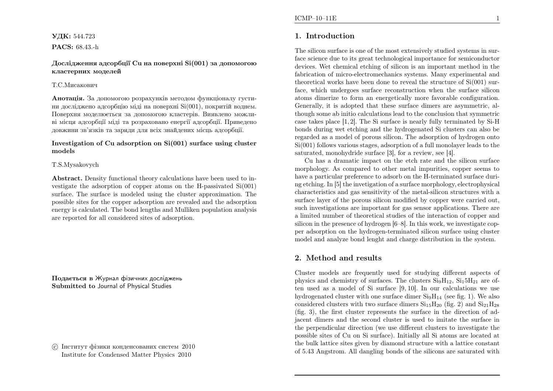### **УДК:** 544.723

PACS: 68.43.-h

Дослiдження адсорбцiї Cu на поверхнi Si(001) за допомогоюкластерних моделей

#### Т.С.Мисакович

**Анотація.** За допомогою розрахунків методом функціоналу густини дослiджено адсорбцiю мiдi на поверхн<sup>i</sup> Si(001), покритiй воднем. Поверхня моделюється за допомогою кластерiв. Виявлено можливi мiсця адсорбцiї мiдi та розраховано енергiї адсорбцiї. Приведенодовжини зв'язкiв та заряди для всiх знайдених мiсць адсорбцiї.

### Investigation of Cu adsorption on Si(001) surface using clustermodels

#### T.S.Mysakovych

Abstract. Density functional theory calculations have been used to in vestigate the adsorption of copper atoms on the H-passivated Si(001) surface. The surface is modeled using the cluster approximation. The possible sites for the copper adsorption are revealed and the adsorption energy is calculated. The bond lengths and Mulliken population analysisare reported for all considered sites of adsorption.

Подається <sup>в</sup> Журнал фiзичних дослiджень Submitted to Journal of Physical Studies

 $\odot$  Iнститут фiзики конденсованих систем  $2010$ Institute for Condensed Matter Physics <sup>2010</sup>

# 1. Introduction

The silicon surface is one of the most extensively studied systems in surface science due to its great technological importance for semiconductor devices. Wet chemical etching of silicon is an important method in the fabrication of micro-electromechanics systems. Many experimental and theoretical works have been done to reveal the structure of Si(001) surface, which undergoes surface reconstruction when the surface silicon atoms dimerize to form an energetically more favorable configuration. Generally, it is adopted that these surface dimers are asymmetric, although some ab initio calculations lead to the conclusion that symmetric case takes <sup>p</sup>lace [1, 2]. The Si surface is nearly fully terminated by Si-H bonds during wet etching and the hydrogenated Si clusters can also be regarded as <sup>a</sup> model of porous silicon. The adsorption of hydrogen onto Si(001) follows various stages, adsorption of <sup>a</sup> full monolayer leads to thesaturated, monohydride surface [3], for <sup>a</sup> review, see [4].

Cu has <sup>a</sup> dramatic impact on the etch rate and the silicon surface morphology. As compared to other metal impurities, copper seems to have <sup>a</sup> particular preference to adsorb on the H-terminated surface during etching. In [5] the invetigation of <sup>a</sup> surface morphology, electrophysical characteristics and gas sensitivity of the metal-silicon structures with <sup>a</sup> surface layer of the porous silicon modified by copper were carried out, such investigations are important for gas sensor applications. There are <sup>a</sup> limited number of theoretical studies of the interaction of copper and silicon in the presence of hydrogen [6–8]. In this work, we investigate copper adsorption on the hydrogen-terminated silicon surface using cluster model and analyze bond lenght and charge distribution in the system.

# 2. Method and results

Cluster models are frequently used for studying different aspects of physics and chemistry of surfaces. The clusters  $\text{Si}_9\text{H}_{12}$ ,  $\text{Si}_1\text{5H}_{21}$  are often used as <sup>a</sup> model of Si surface [9, 10]. In our calculations we usehydrogenated cluster with one surface dimer  $Si<sub>9</sub>H<sub>14</sub>$  (see fig. 1). We also considered clusters with two surface dimers  $Si_{15}H_{20}$  (fig. 2) and  $Si_{21}H_{28}$ (fig. 3), the first cluster represents the surface in the direction of adjacent dimers and the second cluster is used to imitate the surface in the perpendicular direction (we use different clusters to investigate the possible sites of Cu on Si surface). Initially all Si atoms are located at the bulk lattice sites <sup>g</sup>iven by diamond structure with <sup>a</sup> lattice constantof 5.43 Angstrom. All dangling bonds of the silicons are saturated with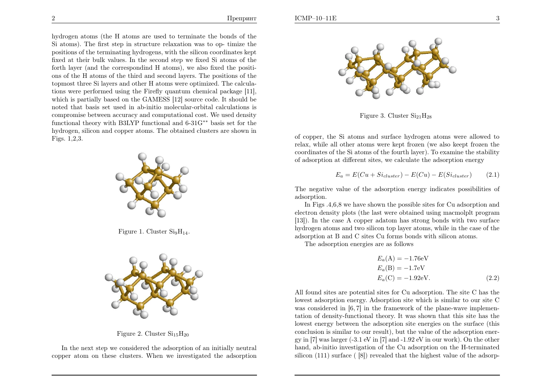hydrogen atoms (the <sup>H</sup> atoms are used to terminate the bonds of the Si atoms). The first step in structure relaxation was to op- timize the positions of the terminating hydrogens, with the silicon coordinates kept fixed at their bulk values. In the second step we fixed Si atoms of the forth layer (and the correspondind <sup>H</sup> atoms), we also fixed the positions of the <sup>H</sup> atoms of the third and second layers. The positions of the topmost three Si layers and other <sup>H</sup> atoms were optimized. The calculations were performed using the Firefly quantum chemical package [11], which is partially based on the GAMESS [12] source code. It should be noted that basis set used in ab-initio molecular-orbital calculations is compromise between accuracy and computational cost. We used density functional theory with B3LYP functional and 6-31G∗∗ basis set for the hydrogen, silicon and copper atoms. The obtained clusters are shown inFigs. 1,2,3.



Figure 1. Cluster  $\text{Si}_9\text{H}_{14}$ .



Figure 2. Cluster  $Si<sub>15</sub>H<sub>20</sub>$ 

In the next step we considered the adsorption of an initially neutral copper atom on these clusters. When we investigated the adsorption



Figure 3. Cluster  $Si<sub>21</sub>H<sub>28</sub>$ 

of copper, the Si atoms and surface hydrogen atoms were allowed to relax, while all other atoms were kept frozen (we also keept frozen the coordinates of the Si atoms of the fourth layer). To examine the stabilityof adsorption at different sites, we calculate the adsorption energy

$$
E_a = E(Cu + Si_{cluster}) - E(Cu) - E(Si_{cluster}) \qquad (2.1)
$$

The negative value of the adsorption energy indicates possibilities of adsorption.

In Figs .4,6,8 we have shown the possible sites for Cu adsorption and electron density <sup>p</sup>lots (the last were obtained using macmolplt program [13]). In the case <sup>A</sup> copper adatom has strong bonds with two surface hydrogen atoms and two silicon top layer atoms, while in the case of theadsorption at <sup>B</sup> and <sup>C</sup> sites Cu forms bonds with silicon atoms.

The adsorption energies are as follows

$$
E_a(\mathbf{A}) = -1.76\text{eV}
$$
  
\n
$$
E_a(\mathbf{B}) = -1.7\text{eV}
$$
  
\n
$$
E_a(\mathbf{C}) = -1.92\text{eV}.
$$
\n(2.2)

All found sites are potential sites for Cu adsorption. The site <sup>C</sup> has the lowest adsorption energy. Adsorption site which is similar to our site <sup>C</sup> was considered in [6, 7] in the framework of the <sup>p</sup>lane-wave implementation of density-functional theory. It was shown that this site has the lowest energy between the adsorption site energies on the surface (this conclusion is similar to our result), but the value of the adsorption energy in [7] was larger (-3.1 eV in [7] and -1.92 eV in our work). On the other hand, ab-initio investigation of the Cu adsorption on the H-terminatedsilicon (111) surface ( [8]) revealed that the highest value of the adsorp-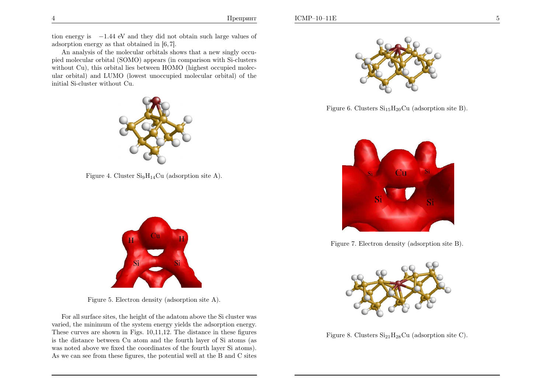tion energy is <sup>−</sup>1.<sup>44</sup> eV and they did not obtain such large values of adsorption energy as that obtained in [6, 7].

An analysis of the molecular orbitals shows that <sup>a</sup> new singly occu<sup>p</sup>ied molecular orbital (SOMO) appears (in comparison with Si-clusters without Cu), this orbital lies between HOMO (highest occupied molecular orbital) and LUMO (lowest unoccupied molecular orbital) of theinitial Si-cluster without Cu.



Figure 4. Cluster  $Si<sub>9</sub>H<sub>14</sub>Cu$  (adsorption site A).



Figure 5. Electron density (adsorption site A).

For all surface sites, the height of the adatom above the Si cluster was varied, the minimum of the system energy <sup>y</sup>ields the adsorption energy. These curves are shown in Figs. 10,11,12. The distance in these figures is the distance between Cu atom and the fourth layer of Si atoms (as was noted above we fixed the coordinates of the fourth layer Si atoms). As we can see from these figures, the potential well at the <sup>B</sup> and <sup>C</sup> sites



Figure 6. Clusters  $Si<sub>15</sub>H<sub>20</sub>Cu$  (adsorption site B).



Figure 7. Electron density (adsorption site B).



Figure 8. Clusters  $Si<sub>21</sub>H<sub>28</sub>Cu$  (adsorption site C).

4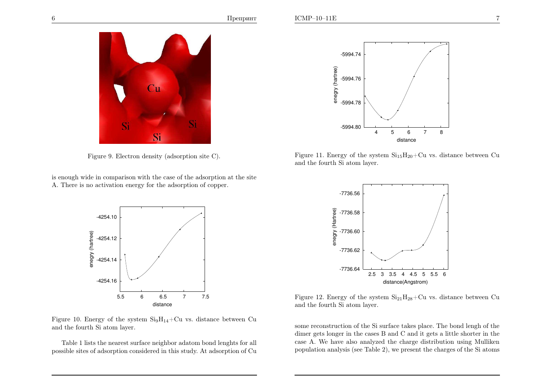

Figure 9. Electron density (adsorption site C).

is enoug<sup>h</sup> wide in comparison with the case of the adsorption at the siteA. There is no activation energy for the adsorption of copper.



Figure 10. Energy of the system  $Si<sub>9</sub>H<sub>14</sub>+Cu$  vs. distance between Cu and the fourth Si atom layer.

Table <sup>1</sup> lists the nearest surface neighbor adatom bond lenghts for all possible sites of adsorption considered in this study. At adsorption of Cu



Figure 11. Energy of the system  $Si_{15}H_{20}+Cu$  vs. distance between Cu and the fourth Si atom layer.



Figure 12. Energy of the system  $Si<sub>21</sub>H<sub>28</sub>+Cu$  vs. distance between Cu and the fourth Si atom layer.

some reconstruction of the Si surface takes <sup>p</sup>lace. The bond lengh of the dimer gets longer in the cases <sup>B</sup> and <sup>C</sup> and it gets <sup>a</sup> little shorter in the case A. We have also analyzed the charge distribution using Mullikenpopulation analysis (see Table 2), we present the charges of the Si atoms